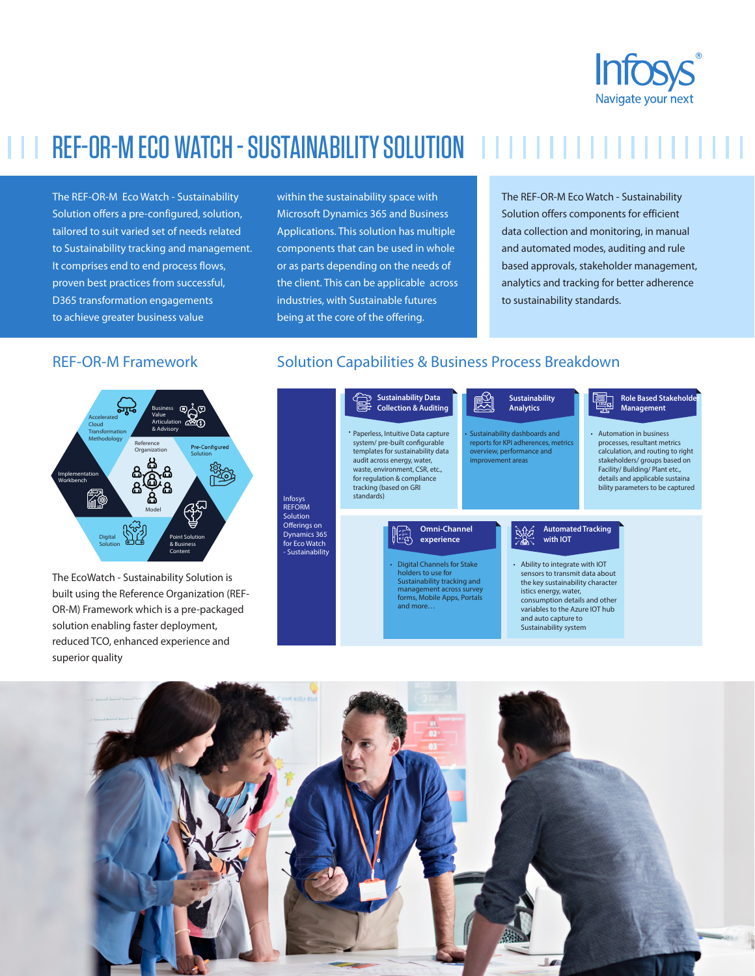

# **FILL REF-OR-M ECO WATCH - SUSTAINABILITY SOLUTION FILL LITTLE LITTLE**

The REF-OR-M Eco Watch - Sustainability Solution offers a pre-configured, solution, tailored to suit varied set of needs related to Sustainability tracking and management. It comprises end to end process flows, proven best practices from successful, D365 transformation engagements to achieve greater business value

within the sustainability space with Microsoft Dynamics 365 and Business Applications. This solution has multiple components that can be used in whole or as parts depending on the needs of the client. This can be applicable across industries, with Sustainable futures being at the core of the offering.

The REF-OR-M Eco Watch - Sustainability Solution offers components for efficient data collection and monitoring, in manual and automated modes, auditing and rule based approvals, stakeholder management, analytics and tracking for better adherence to sustainability standards.

#### REF-OR-M Framework



The EcoWatch - Sustainability Solution is built using the Reference Organization (REF-OR-M) Framework which is a pre-packaged solution enabling faster deployment, reduced TCO, enhanced experience and superior quality

#### Solution Capabilities & Business Process Breakdown